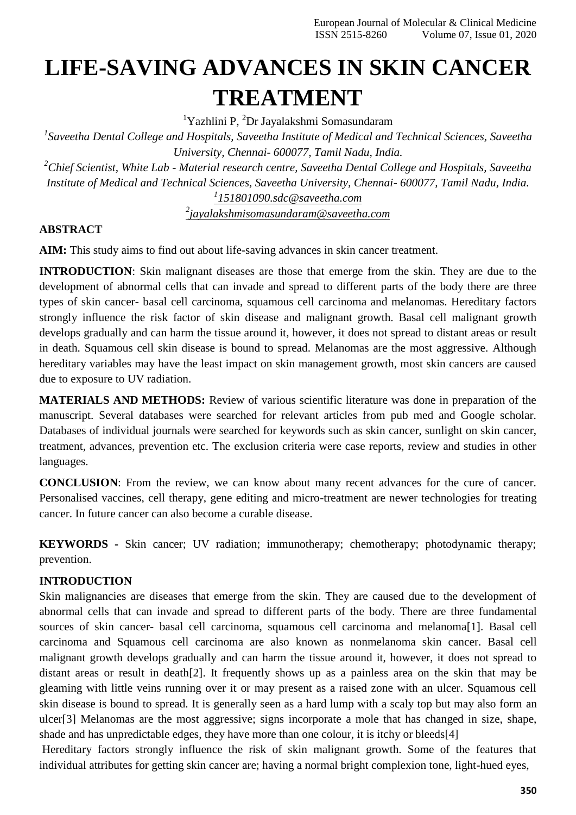# **LIFE-SAVING ADVANCES IN SKIN CANCER TREATMENT**

<sup>1</sup>Yazhlini P, <sup>2</sup>Dr Jayalakshmi Somasundaram

*1 Saveetha Dental College and Hospitals, Saveetha Institute of Medical and Technical Sciences, Saveetha University, Chennai- 600077, Tamil Nadu, India.*

*<sup>2</sup>Chief Scientist, White Lab - Material research centre, Saveetha Dental College and Hospitals, Saveetha Institute of Medical and Technical Sciences, Saveetha University, Chennai- 600077, Tamil Nadu, India. 1 [151801090.sdc@saveetha.com](mailto:1151801090.sdc@saveetha.com)*

*2 [jayalakshmisomasundaram@saveetha.com](mailto:2jayalakshmisomasundaram@saveetha.com)*

## **ABSTRACT**

**AIM:** This study aims to find out about life-saving advances in skin cancer treatment.

**INTRODUCTION:** Skin malignant diseases are those that emerge from the skin. They are due to the development of abnormal cells that can invade and spread to different parts of the body there are three types of skin cancer- basal cell carcinoma, squamous cell carcinoma and melanomas. Hereditary factors strongly influence the risk factor of skin disease and malignant growth. Basal cell malignant growth develops gradually and can harm the tissue around it, however, it does not spread to distant areas or result in death. Squamous cell skin disease is bound to spread. Melanomas are the most aggressive. Although hereditary variables may have the least impact on skin management growth, most skin cancers are caused due to exposure to UV radiation.

**MATERIALS AND METHODS:** Review of various scientific literature was done in preparation of the manuscript. Several databases were searched for relevant articles from pub med and Google scholar. Databases of individual journals were searched for keywords such as skin cancer, sunlight on skin cancer, treatment, advances, prevention etc. The exclusion criteria were case reports, review and studies in other languages.

**CONCLUSION**: From the review, we can know about many recent advances for the cure of cancer. Personalised vaccines, cell therapy, gene editing and micro-treatment are newer technologies for treating cancer. In future cancer can also become a curable disease.

**KEYWORDS -** Skin cancer; UV radiation; immunotherapy; chemotherapy; photodynamic therapy; prevention.

## **INTRODUCTION**

Skin malignancies are diseases that emerge from the skin. They are caused due to the development of abnormal cells that can invade and spread to different parts of the body. There are three fundamental sources of skin cancer- basal cell carcinoma, squamous cell carcinoma and melanom[a\[1\].](https://paperpile.com/c/HxQQkL/9GutP) Basal cell carcinoma and Squamous cell carcinoma are also known as nonmelanoma skin cancer. Basal cell malignant growth develops gradually and can harm the tissue around it, however, it does not spread to distant areas or result in deat[h\[2\].](https://paperpile.com/c/HxQQkL/D8zS8) It frequently shows up as a painless area on the skin that may be gleaming with little veins running over it or may present as a raised zone with an ulcer. Squamous cell skin disease is bound to spread. It is generally seen as a hard lump with a scaly top but may also form an ulce[r\[3\]](https://paperpile.com/c/HxQQkL/aydDJ) Melanomas are the most aggressive; signs incorporate a mole that has changed in size, shape, shade and has unpredictable edges, they have more than one colour, it is itchy or bleed[s\[4\]](https://paperpile.com/c/HxQQkL/pzot1)

Hereditary factors strongly influence the risk of skin malignant growth. Some of the features that individual attributes for getting skin cancer are; having a normal bright complexion tone, light-hued eyes,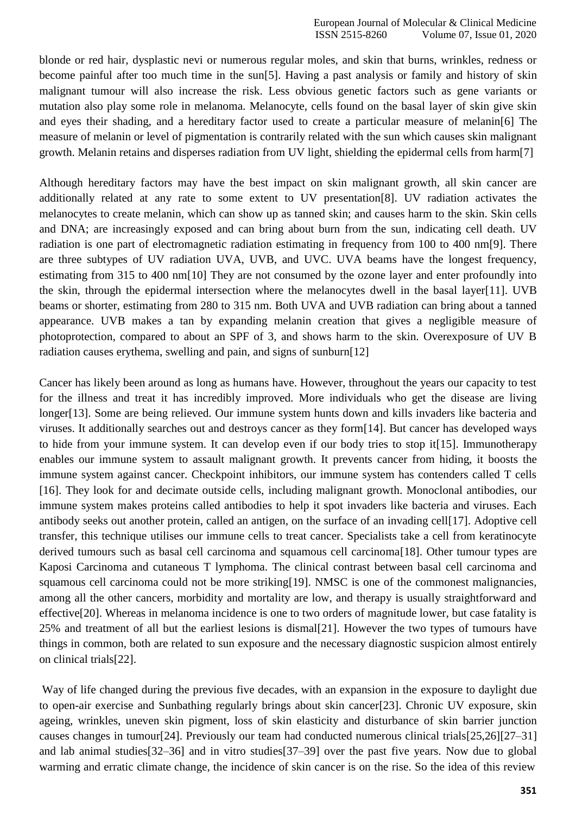blonde or red hair, dysplastic nevi or numerous regular moles, and skin that burns, wrinkles, redness or become painful after too much time in the su[n\[5\].](https://paperpile.com/c/HxQQkL/0XTHo) Having a past analysis or family and history of skin malignant tumour will also increase the risk. Less obvious genetic factors such as gene variants or mutation also play some role in melanoma. Melanocyte, cells found on the basal layer of skin give skin and eyes their shading, and a hereditary factor used to create a particular measure of melani[n\[6\]](https://paperpile.com/c/HxQQkL/CBdM5) The measure of melanin or level of pigmentation is contrarily related with the sun which causes skin malignant growth. Melanin retains and disperses radiation from UV light, shielding the epidermal cells from har[m\[7\]](https://paperpile.com/c/HxQQkL/B57Vk)

Although hereditary factors may have the best impact on skin malignant growth, all skin cancer are additionally related at any rate to some extent to UV presentatio[n\[8\].](https://paperpile.com/c/HxQQkL/6ZSiT) UV radiation activates the melanocytes to create melanin, which can show up as tanned skin; and causes harm to the skin. Skin cells and DNA; are increasingly exposed and can bring about burn from the sun, indicating cell death. UV radiation is one part of electromagnetic radiation estimating in frequency from 100 to 400 n[m\[9\].](https://paperpile.com/c/HxQQkL/4eQiR) There are three subtypes of UV radiation UVA, UVB, and UVC. UVA beams have the longest frequency, estimating from 315 to 400 n[m\[10\] T](https://paperpile.com/c/HxQQkL/ZS06e)hey are not consumed by the ozone layer and enter profoundly into the skin, through the epidermal intersection where the melanocytes dwell in the basal laye[r\[11\].](https://paperpile.com/c/HxQQkL/JDQyc) UVB beams or shorter, estimating from 280 to 315 nm. Both UVA and UVB radiation can bring about a tanned appearance. UVB makes a tan by expanding melanin creation that gives a negligible measure of photoprotection, compared to about an SPF of 3, and shows harm to the skin. Overexposure of UV B radiation causes erythema, swelling and pain, and signs of sunburn[\[12\]](https://paperpile.com/c/HxQQkL/PDe58)

Cancer has likely been around as long as humans have. However, throughout the years our capacity to test for the illness and treat it has incredibly improved. More individuals who get the disease are living longe[r\[13\]. S](https://paperpile.com/c/HxQQkL/muLDP)ome are being relieved. Our immune system hunts down and kills invaders like bacteria and viruses. It additionally searches out and destroys cancer as they for[m\[14\].](https://paperpile.com/c/HxQQkL/F5Sx2) But cancer has developed ways to hide from your immune system. It can develop even if our body tries to stop i[t\[15\].](https://paperpile.com/c/HxQQkL/wk45r) Immunotherapy enables our immune system to assault malignant growth. It prevents cancer from hiding, it boosts the immune system against cancer. Checkpoint inhibitors, our immune system has contenders called T cells [\[16\].](https://paperpile.com/c/HxQQkL/TnfOf) They look for and decimate outside cells, including malignant growth. Monoclonal antibodies, our immune system makes proteins called antibodies to help it spot invaders like bacteria and viruses. Each antibody seeks out another protein, called an antigen, on the surface of an invading cel[l\[17\].](https://paperpile.com/c/HxQQkL/DBjcO) Adoptive cell transfer, this technique utilises our immune cells to treat cancer. Specialists take a cell from keratinocyte derived tumours such as basal cell carcinoma and squamous cell carcinom[a\[18\].](https://paperpile.com/c/HxQQkL/OwztS) Other tumour types are Kaposi Carcinoma and cutaneous T lymphoma. The clinical contrast between basal cell carcinoma and squamous cell carcinoma could not be more strikin[g\[19\].](https://paperpile.com/c/HxQQkL/KmUmE) NMSC is one of the commonest malignancies, among all the other cancers, morbidity and mortality are low, and therapy is usually straightforward and effectiv[e\[20\].](https://paperpile.com/c/HxQQkL/Aahgi) Whereas in melanoma incidence is one to two orders of magnitude lower, but case fatality is 25% and treatment of all but the earliest lesions is disma[l\[21\].](https://paperpile.com/c/HxQQkL/CNcv0) However the two types of tumours have things in common, both are related to sun exposure and the necessary diagnostic suspicion almost entirely on clinical trial[s\[22\].](https://paperpile.com/c/HxQQkL/LVElC)

Way of life changed during the previous five decades, with an expansion in the exposure to daylight due to open-air exercise and Sunbathing regularly brings about skin cance[r\[23\].](https://paperpile.com/c/HxQQkL/znTtQ) Chronic UV exposure, skin ageing, wrinkles, uneven skin pigment, loss of skin elasticity and disturbance of skin barrier junction causes changes in tumou[r\[24\].](https://paperpile.com/c/HxQQkL/kAybL) Previously our team had conducted numerous clinical trial[s\[25,26\]\[27–31\]](https://paperpile.com/c/HxQQkL/qw2Et%2BYFQvx) and lab animal studie[s\[32–36\]](https://paperpile.com/c/HxQQkL/phv3%2BxxpB%2Bs7b2c%2BjKnxt%2B1ZgF) and in vitro studie[s\[37–39\]](https://paperpile.com/c/HxQQkL/aIMeT%2Bwi3bX%2BTt4M) over the past five years. Now due to global warming and erratic climate change, the incidence of skin cancer is on the rise. So the idea of this review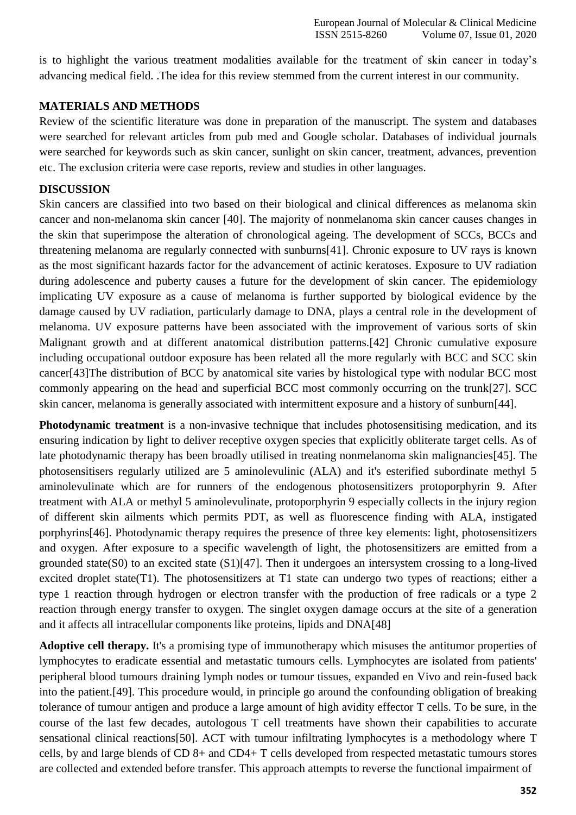is to highlight the various treatment modalities available for the treatment of skin cancer in today's advancing medical field. .The idea for this review stemmed from the current interest in our community.

## **MATERIALS AND METHODS**

Review of the scientific literature was done in preparation of the manuscript. The system and databases were searched for relevant articles from pub med and Google scholar. Databases of individual journals were searched for keywords such as skin cancer, sunlight on skin cancer, treatment, advances, prevention etc. The exclusion criteria were case reports, review and studies in other languages.

## **DISCUSSION**

Skin cancers are classified into two based on their biological and clinical differences as melanoma skin cancer and non-melanoma skin cancer [\[40\].](https://paperpile.com/c/HxQQkL/n83IY) The majority of nonmelanoma skin cancer causes changes in the skin that superimpose the alteration of chronological ageing. The development of SCCs, BCCs and threatening melanoma are regularly connected with sunburn[s\[41\].](https://paperpile.com/c/HxQQkL/bkHL5) Chronic exposure to UV rays is known as the most significant hazards factor for the advancement of actinic keratoses. Exposure to UV radiation during adolescence and puberty causes a future for the development of skin cancer. The epidemiology implicating UV exposure as a cause of melanoma is further supported by biological evidence by the damage caused by UV radiation, particularly damage to DNA, plays a central role in the development of melanoma. UV exposure patterns have been associated with the improvement of various sorts of skin Malignant growth and at different anatomical distribution patterns[.\[42\]](https://paperpile.com/c/HxQQkL/sfLqc) Chronic cumulative exposure including occupational outdoor exposure has been related all the more regularly with BCC and SCC skin cance[r\[43\]T](https://paperpile.com/c/HxQQkL/dwvOJ)he distribution of BCC by anatomical site varies by histological type with nodular BCC most commonly appearing on the head and superficial BCC most commonly occurring on the trun[k\[27\].](https://paperpile.com/c/HxQQkL/jcZz) SCC skin cancer, melanoma is generally associated with intermittent exposure and a history of sunbur[n\[44\].](https://paperpile.com/c/HxQQkL/pqfW3)

**Photodynamic treatment** is a non-invasive technique that includes photosensitising medication, and its ensuring indication by light to deliver receptive oxygen species that explicitly obliterate target cells. As of late photodynamic therapy has been broadly utilised in treating nonmelanoma skin malignancie[s\[45\].](https://paperpile.com/c/HxQQkL/JCqil) The photosensitisers regularly utilized are 5 aminolevulinic (ALA) and it's esterified subordinate methyl 5 aminolevulinate which are for runners of the endogenous photosensitizers protoporphyrin 9. After treatment with ALA or methyl 5 aminolevulinate, protoporphyrin 9 especially collects in the injury region of different skin ailments which permits PDT, as well as fluorescence finding with ALA, instigated porphyrin[s\[46\]. P](https://paperpile.com/c/HxQQkL/9J8CV)hotodynamic therapy requires the presence of three key elements: light, photosensitizers and oxygen. After exposure to a specific wavelength of light, the photosensitizers are emitted from a grounded state(S0) to an excited state (S1[\)\[47\].](https://paperpile.com/c/HxQQkL/ouqOb) Then it undergoes an intersystem crossing to a long-lived excited droplet state(T1). The photosensitizers at T1 state can undergo two types of reactions; either a type 1 reaction through hydrogen or electron transfer with the production of free radicals or a type 2 reaction through energy transfer to oxygen. The singlet oxygen damage occurs at the site of a generation and it affects all intracellular components like proteins, lipids and DN[A\[48\]](https://paperpile.com/c/HxQQkL/n0z08)

**Adoptive cell therapy.** It's a promising type of immunotherapy which misuses the antitumor properties of lymphocytes to eradicate essential and metastatic tumours cells. Lymphocytes are isolated from patients' peripheral blood tumours draining lymph nodes or tumour tissues, expanded en Vivo and rein-fused back into the patient[.\[49\].](https://paperpile.com/c/HxQQkL/Slc8A) This procedure would, in principle go around the confounding obligation of breaking tolerance of tumour antigen and produce a large amount of high avidity effector T cells. To be sure, in the course of the last few decades, autologous T cell treatments have shown their capabilities to accurate sensational clinical reaction[s\[50\].](https://paperpile.com/c/HxQQkL/S4Sdy) ACT with tumour infiltrating lymphocytes is a methodology where T cells, by and large blends of CD 8+ and CD4+ T cells developed from respected metastatic tumours stores are collected and extended before transfer. This approach attempts to reverse the functional impairment of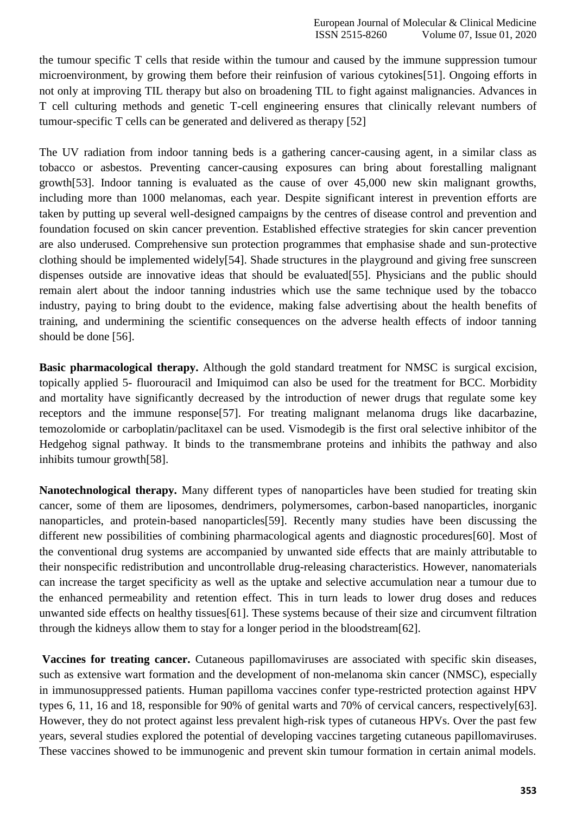the tumour specific T cells that reside within the tumour and caused by the immune suppression tumour microenvironment, by growing them before their reinfusion of various cytokine[s\[51\].](https://paperpile.com/c/HxQQkL/qMMtk) Ongoing efforts in not only at improving TIL therapy but also on broadening TIL to fight against malignancies. Advances in T cell culturing methods and genetic T-cell engineering ensures that clinically relevant numbers of tumour-specific T cells can be generated and delivered as therapy [\[52\]](https://paperpile.com/c/HxQQkL/pIdRT)

The UV radiation from indoor tanning beds is a gathering cancer-causing agent, in a similar class as tobacco or asbestos. Preventing cancer-causing exposures can bring about forestalling malignant gr[owth\[53\].](https://paperpile.com/c/HxQQkL/GmvJ) Indoor tanning is evaluated as the cause of over 45,000 new skin malignant growths, including more than 1000 melanomas, each year. Despite significant interest in prevention efforts are taken by putting up several well-designed campaigns by the centres of disease control and prevention and foundation focused on skin cancer prevention. Established effective strategies for skin cancer prevention are also underused. Comprehensive sun protection programmes that emphasise shade and sun-protective clothing should be implemented widel[y\[54\]. S](https://paperpile.com/c/HxQQkL/XKEL)hade structures in the playground and giving free sunscreen dispenses outside are innovative ideas that should be evaluate[d\[55\].](https://paperpile.com/c/HxQQkL/gLjMx) Physicians and the public should remain alert about the indoor tanning industries which use the same technique used by the tobacco industry, paying to bring doubt to the evidence, making false advertising about the health benefits of training, and undermining the scientific consequences on the adverse health effects of indoor tanning should be done [\[56\].](https://paperpile.com/c/HxQQkL/V1MCF)

**Basic pharmacological therapy.** Although the gold standard treatment for NMSC is surgical excision, topically applied 5- fluorouracil and Imiquimod can also be used for the treatment for BCC. Morbidity and mortality have significantly decreased by the introduction of newer drugs that regulate some key receptors and the immune respons[e\[57\].](https://paperpile.com/c/HxQQkL/uTLs) For treating malignant melanoma drugs like dacarbazine, temozolomide or carboplatin/paclitaxel can be used. Vismodegib is the first oral selective inhibitor of the Hedgehog signal pathway. It binds to the transmembrane proteins and inhibits the pathway and also inhibits tumour growt[h\[58\].](https://paperpile.com/c/HxQQkL/C9BC)

**Nanotechnological therapy.** Many different types of nanoparticles have been studied for treating skin cancer, some of them are liposomes, dendrimers, polymersomes, carbon-based nanoparticles, inorganic nanoparticles, and protein-based nanoparticle[s\[59\].](https://paperpile.com/c/HxQQkL/ZBR1) Recently many studies have been discussing the different new possibilities of combining pharmacological agents and diagnostic procedure[s\[60\].](https://paperpile.com/c/HxQQkL/1gxx) Most of the conventional drug systems are accompanied by unwanted side effects that are mainly attributable to their nonspecific redistribution and uncontrollable drug-releasing characteristics. However, nanomaterials can increase the target specificity as well as the uptake and selective accumulation near a tumour due to the enhanced permeability and retention effect. This in turn leads to lower drug doses and reduces unwanted side effects on healthy tissue[s\[61\].](https://paperpile.com/c/HxQQkL/mJU9) These systems because of their size and circumvent filtration through the kidneys allow them to stay for a longer period in the bloodstrea[m\[62\].](https://paperpile.com/c/HxQQkL/nBYU)

**Vaccines for treating cancer.** Cutaneous papillomaviruses are associated with specific skin diseases, such as extensive wart formation and the development of non-melanoma skin cancer (NMSC), especially in immunosuppressed patients. Human papilloma vaccines confer type-restricted protection against HPV types 6, 11, 16 and 18, responsible for 90% of genital warts and 70% of cervical cancers, respectivel[y\[63\].](https://paperpile.com/c/HxQQkL/Pgtq) However, they do not protect against less prevalent high-risk types of cutaneous HPVs. Over the past few years, several studies explored the potential of developing vaccines targeting cutaneous papillomaviruses. These vaccines showed to be immunogenic and prevent skin tumour formation in certain animal models.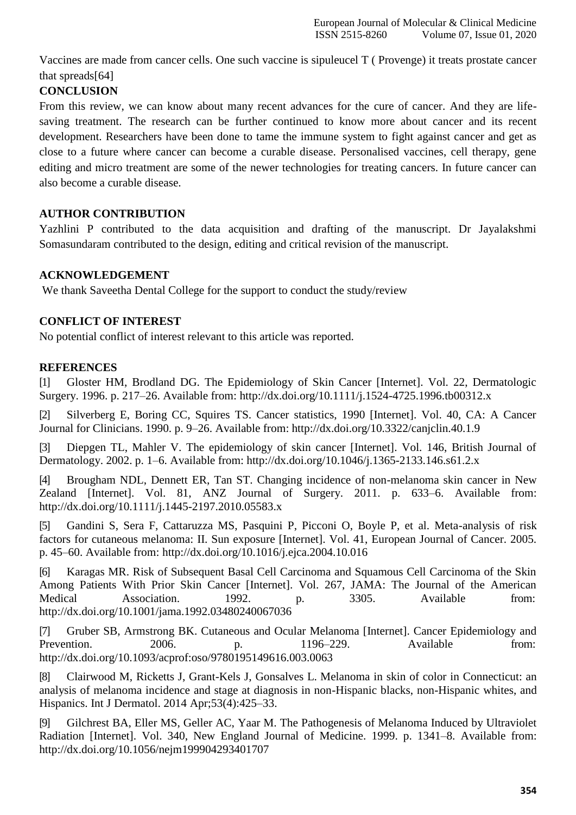Vaccines are made from cancer cells. One such vaccine is sipuleucel T ( Provenge) it treats prostate cancer that spread[s\[64\]](https://paperpile.com/c/HxQQkL/06Po)

# **CONCLUSION**

From this review, we can know about many recent advances for the cure of cancer. And they are lifesaving treatment. The research can be further continued to know more about cancer and its recent development. Researchers have been done to tame the immune system to fight against cancer and get as close to a future where cancer can become a curable disease. Personalised vaccines, cell therapy, gene editing and micro treatment are some of the newer technologies for treating cancers. In future cancer can also become a curable disease.

## **AUTHOR CONTRIBUTION**

Yazhlini P contributed to the data acquisition and drafting of the manuscript. Dr Jayalakshmi Somasundaram contributed to the design, editing and critical revision of the manuscript.

## **ACKNOWLEDGEMENT**

We thank Saveetha Dental College for the support to conduct the study/review

## **CONFLICT OF INTEREST**

No potential conflict of interest relevant to this article was reported.

#### **REFERENCES**

[1] [Gloster HM, Brodland DG. The Epidemiology of Skin Cancer \[Internet\]. Vol. 22, Dermatologic](http://paperpile.com/b/HxQQkL/9GutP) [Surgery. 1996. p. 217–26. Available from:](http://paperpile.com/b/HxQQkL/9GutP) [http://dx.doi.org/10.1111/j.1524-4725.1996.tb00312.x](http://paperpile.com/b/HxQQkL/9GutP)

[2] [Silverberg E, Boring CC, Squires TS. Cancer statistics, 1990 \[Internet\]. Vol. 40, CA: A Cancer](http://paperpile.com/b/HxQQkL/D8zS8) [Journal for Clinicians. 1990. p. 9–26. Available from:](http://paperpile.com/b/HxQQkL/D8zS8) [http://dx.doi.org/10.3322/canjclin.40.1.9](http://paperpile.com/b/HxQQkL/D8zS8)

[Diepgen TL, Mahler V. The epidemiology of skin cancer \[Internet\]. Vol. 146, British Journal of](http://paperpile.com/b/HxQQkL/aydDJ) [Dermatology. 2002. p. 1–6. Available from:](http://paperpile.com/b/HxQQkL/aydDJ) [http://dx.doi.org/10.1046/j.1365-2133.146.s61.2.x](http://paperpile.com/b/HxQQkL/aydDJ)

[4] [Brougham NDL, Dennett ER, Tan ST. Changing incidence of non-melanoma skin cancer in New](http://paperpile.com/b/HxQQkL/pzot1) [Zealand \[Internet\]. Vol. 81, ANZ Journal of Surgery. 2011. p. 633–6. Available from:](http://paperpile.com/b/HxQQkL/pzot1) <http://dx.doi.org/10.1111/j.1445-2197.2010.05583.x>

[5] [Gandini S, Sera F, Cattaruzza MS, Pasquini P, Picconi O, Boyle P, et al. Meta-analysis of risk](http://paperpile.com/b/HxQQkL/0XTHo) [factors for cutaneous melanoma: II. Sun exposure \[Internet\]. Vol. 41, European Journal of Cancer. 2005.](http://paperpile.com/b/HxQQkL/0XTHo) [p. 45–60. Available from: http://dx.doi.org/10.1016/j.ejca.2004.10.016](http://paperpile.com/b/HxQQkL/0XTHo)

[6] [Karagas MR. Risk of Subsequent Basal Cell Carcinoma and Squamous Cell Carcinoma of the Skin](http://paperpile.com/b/HxQQkL/CBdM5) [Among Patients With Prior Skin Cancer \[Internet\]. Vol. 267, JAMA: The Journal of the American](http://paperpile.com/b/HxQQkL/CBdM5) Medical [Association.](http://paperpile.com/b/HxQQkL/CBdM5) 1992. p. 3305. Available from[:](http://paperpile.com/b/HxQQkL/CBdM5) <http://dx.doi.org/10.1001/jama.1992.03480240067036>

[7] [Gruber SB, Armstrong BK. Cutaneous and Ocular Melanoma \[Internet\]. Cancer Epidemiology and](http://paperpile.com/b/HxQQkL/B57Vk) [Prevention.](http://paperpile.com/b/HxQQkL/B57Vk) 2006. p. 1196–229. Available from: http://dx.doi.org/10.1093/acprof:oso/9780195149616.003.0063

[8] [Clairwood M, Ricketts J, Grant-Kels J, Gonsalves L. Melanoma in skin of color in Connecticut: an](http://paperpile.com/b/HxQQkL/6ZSiT) [analysis of melanoma incidence and stage at diagnosis in non-Hispanic blacks, non-Hispanic whites, and](http://paperpile.com/b/HxQQkL/6ZSiT) [Hispanics. Int J Dermatol. 2014](http://paperpile.com/b/HxQQkL/6ZSiT) Apr;53(4):425–33.

[9] [Gilchrest BA, Eller MS, Geller AC, Yaar M. The Pathogenesis of Melanoma Induced by Ultraviolet](http://paperpile.com/b/HxQQkL/4eQiR) [Radiation \[Internet\]. Vol. 340, New England Journal of Medicine. 1999. p. 1341–8. Available from:](http://paperpile.com/b/HxQQkL/4eQiR) <http://dx.doi.org/10.1056/nejm199904293401707>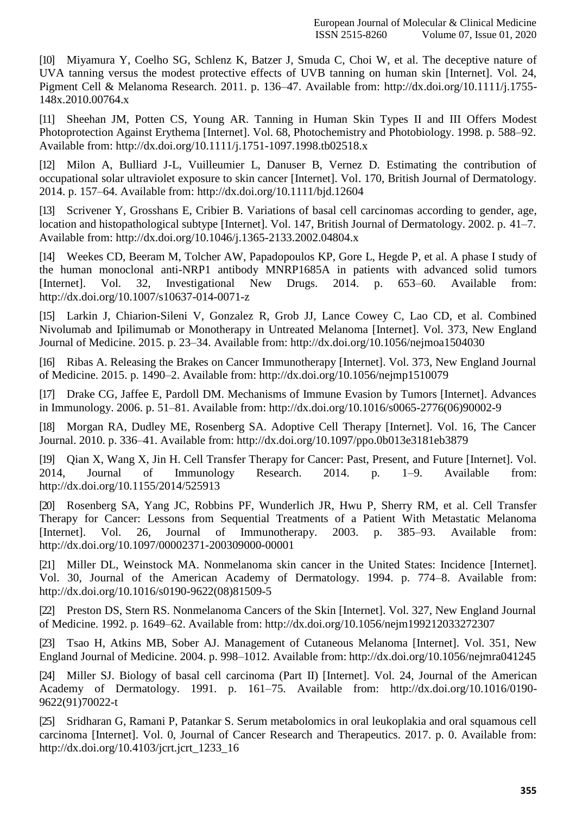[10] [Miyamura Y, Coelho SG, Schlenz K, Batzer J, Smuda C, Choi W, et al. The deceptive nature of](http://paperpile.com/b/HxQQkL/ZS06e) [UVA tanning versus the modest protective effects of UVB tanning on human skin \[Internet\]. Vol. 24,](http://paperpile.com/b/HxQQkL/ZS06e) [Pigment Cell & Melanoma Research. 2011. p. 136–47. Available from: http://dx.doi.org/10.1111/j.1755-](http://paperpile.com/b/HxQQkL/ZS06e) [148x.2010.00764.x](http://dx.doi.org/10.1111/j.1755-148x.2010.00764.x)

[11] [Sheehan JM, Potten CS, Young AR. Tanning in Human Skin Types II and III Offers Modest](http://paperpile.com/b/HxQQkL/JDQyc) [Photoprotection Against Erythema \[Internet\]. Vol. 68, Photochemistry and Photobiology. 1998. p.](http://paperpile.com/b/HxQQkL/JDQyc) 588–92. [Available from: http://dx.doi.org/10.1111/j.1751-1097.1998.tb02518.x](http://paperpile.com/b/HxQQkL/JDQyc)

[12] [Milon A, Bulliard J-L, Vuilleumier L, Danuser B, Vernez D. Estimating the contribution of](http://paperpile.com/b/HxQQkL/PDe58) [occupational solar ultraviolet exposure to skin cancer \[Internet\]. Vol. 170, British Journal of Dermatology.](http://paperpile.com/b/HxQQkL/PDe58) [2014. p. 157–64. Available from: http://dx.doi.org/10.1111/bjd.12604](http://paperpile.com/b/HxQQkL/PDe58)

[13] [Scrivener Y, Grosshans E, Cribier B. Variations of basal cell carcinomas according to gender, age,](http://paperpile.com/b/HxQQkL/muLDP) [location and histopathological subtype \[Internet\]. Vol. 147, British Journal of Dermatology. 2002. p.](http://paperpile.com/b/HxQQkL/muLDP) 41–7. [Available from: http://dx.doi.org/10.1046/j.1365-2133.2002.04804.x](http://paperpile.com/b/HxQQkL/muLDP)

[14] [Weekes CD, Beeram M, Tolcher AW, Papadopoulos KP, Gore L, Hegde P, et al. A phase I study of](http://paperpile.com/b/HxQQkL/F5Sx2) [the human monoclonal anti-NRP1 antibody MNRP1685A in patients with advanced solid tumors](http://paperpile.com/b/HxQQkL/F5Sx2) [\[Internet\]. Vol. 32, Investigational New Drugs. 2014. p. 653–60. Available from:](http://paperpile.com/b/HxQQkL/F5Sx2) <http://dx.doi.org/10.1007/s10637-014-0071-z>

[15] [Larkin J, Chiarion-Sileni V, Gonzalez R, Grob JJ, Lance Cowey C, Lao CD, et al. Combined](http://paperpile.com/b/HxQQkL/wk45r) [Nivolumab and Ipilimumab or Monotherapy in Untreated Melanoma \[Internet\]. Vol. 373, New England](http://paperpile.com/b/HxQQkL/wk45r) [Journal of Medicine. 2015. p. 23–34. Available from:](http://paperpile.com/b/HxQQkL/wk45r) [http://dx.doi.org/10.1056/nejmoa1504030](http://paperpile.com/b/HxQQkL/wk45r)

[16] [Ribas A. Releasing the Brakes on Cancer Immunotherapy \[Internet\]. Vol. 373, New England Journal](http://paperpile.com/b/HxQQkL/TnfOf) [of Medicine. 2015. p. 1490–2. Available from:](http://paperpile.com/b/HxQQkL/TnfOf) [http://dx.doi.org/10.1056/nejmp1510079](http://paperpile.com/b/HxQQkL/TnfOf)

[17] [Drake CG, Jaffee E, Pardoll DM. Mechanisms of Immune Evasion by Tumors \[Internet\]. Advances](http://paperpile.com/b/HxQQkL/DBjcO) [in Immunology. 2006. p. 51–81. Available from:](http://paperpile.com/b/HxQQkL/DBjcO) [http://dx.doi.org/10.1016/s0065-2776\(06\)90002-9](http://paperpile.com/b/HxQQkL/DBjcO)

[18] [Morgan RA, Dudley ME, Rosenberg SA. Adoptive Cell Therapy \[Internet\]. Vol. 16, The Cancer](http://paperpile.com/b/HxQQkL/OwztS) [Journal. 2010. p. 336–41. Available from:](http://paperpile.com/b/HxQQkL/OwztS) [http://dx.doi.org/10.1097/ppo.0b013e3181eb3879](http://paperpile.com/b/HxQQkL/OwztS)

[19] [Qian X, Wang X, Jin H. Cell Transfer Therapy for Cancer: Past, Present, and Future \[Internet\]. Vol.](http://paperpile.com/b/HxQQkL/KmUmE) [2014, Journal of Immunology Research. 2014. p. 1–9. Available from:](http://paperpile.com/b/HxQQkL/KmUmE) <http://dx.doi.org/10.1155/2014/525913>

[20] [Rosenberg SA, Yang JC, Robbins PF, Wunderlich JR, Hwu P, Sherry RM, et al. Cell Transfer](http://paperpile.com/b/HxQQkL/Aahgi) [Therapy for Cancer: Lessons from Sequential Treatments of a Patient With Metastatic Melanoma](http://paperpile.com/b/HxQQkL/Aahgi) [\[Internet\]. Vol. 26, Journal of Immunotherapy. 2003. p. 385–93. Available from:](http://paperpile.com/b/HxQQkL/Aahgi) <http://dx.doi.org/10.1097/00002371-200309000-00001>

[21] [Miller DL, Weinstock MA. Nonmelanoma skin cancer in the United States: Incidence \[Internet\].](http://paperpile.com/b/HxQQkL/CNcv0) [Vol. 30, Journal of the American Academy of Dermatology. 1994. p. 774–8. Available from:](http://paperpile.com/b/HxQQkL/CNcv0) [http://dx.doi.org/10.1016/s0190-9622\(08\)81509-5](http://dx.doi.org/10.1016/s0190-9622(08)81509-5)

[22] [Preston DS, Stern RS. Nonmelanoma Cancers of the Skin \[Internet\]. Vol. 327, New England Journal](http://paperpile.com/b/HxQQkL/LVElC) [of Medicine. 1992. p. 1649–62. Available from:](http://paperpile.com/b/HxQQkL/LVElC) [http://dx.doi.org/10.1056/nejm199212033272307](http://paperpile.com/b/HxQQkL/LVElC)

[23] [Tsao H, Atkins MB, Sober AJ. Management of Cutaneous Melanoma \[Internet\]. Vol. 351, New](http://paperpile.com/b/HxQQkL/znTtQ) [England Journal of Medicine. 2004. p. 998–1012. Available from:](http://paperpile.com/b/HxQQkL/znTtQ) [http://dx.doi.org/10.1056/nejmra041245](http://paperpile.com/b/HxQQkL/znTtQ)

[24] [Miller SJ. Biology of basal cell carcinoma \(Part II\) \[Internet\]. Vol. 24, Journal of the American](http://paperpile.com/b/HxQQkL/kAybL) [Academy of Dermatology. 1991. p. 161–75. Available from:](http://paperpile.com/b/HxQQkL/kAybL) [http://dx.doi.org/10.1016/0190-](http://dx.doi.org/10.1016/0190-9622(91)70022-t) [9622\(91\)70022-t](http://dx.doi.org/10.1016/0190-9622(91)70022-t)

[25] [Sridharan G, Ramani P, Patankar S. Serum metabolomics in oral leukoplakia and oral squamous cell](http://paperpile.com/b/HxQQkL/qw2Et) [carcinoma \[Internet\]. Vol. 0, Journal of Cancer Research and Therapeutics. 2017. p. 0. Available from:](http://paperpile.com/b/HxQQkL/qw2Et) [http://dx.doi.org/10.4103/jcrt.jcrt\\_1233\\_16](http://dx.doi.org/10.4103/jcrt.jcrt_1233_16)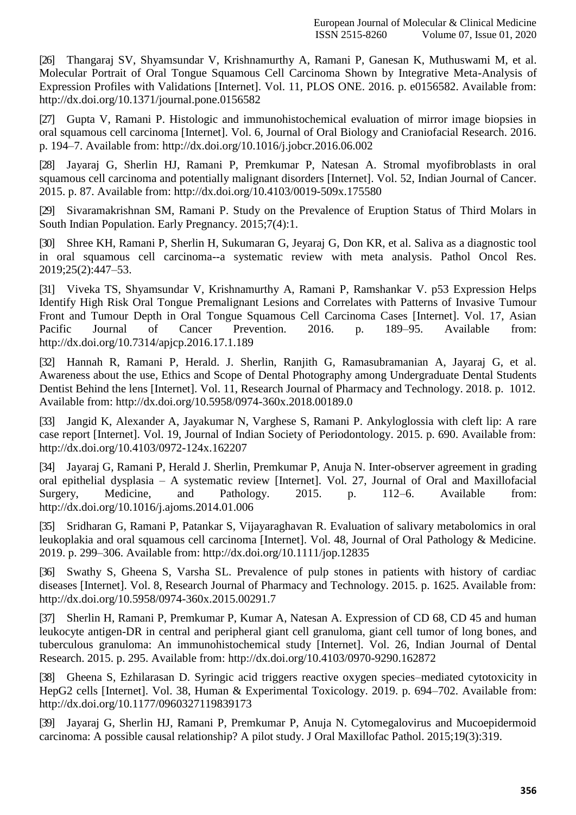[26] [Thangaraj SV, Shyamsundar V, Krishnamurthy A, Ramani P, Ganesan K, Muthuswami M, et al.](http://paperpile.com/b/HxQQkL/YFQvx) [Molecular Portrait of Oral Tongue Squamous Cell Carcinoma Shown by Integrative Meta-Analysis of](http://paperpile.com/b/HxQQkL/YFQvx) [Expression Profiles with Validations \[Internet\]. Vol. 11, PLOS ONE. 2016. p. e0156582. Available from:](http://paperpile.com/b/HxQQkL/YFQvx) <http://dx.doi.org/10.1371/journal.pone.0156582>

[27] [Gupta V, Ramani P. Histologic and immunohistochemical evaluation of mirror image biopsies in](http://paperpile.com/b/HxQQkL/jcZz) [oral squamous cell carcinoma \[Internet\]. Vol. 6, Journal of Oral Biology and Craniofacial Research. 2016.](http://paperpile.com/b/HxQQkL/jcZz) [p. 194–7. Available from: http://dx.doi.org/10.1016/j.jobcr.2016.06.002](http://paperpile.com/b/HxQQkL/jcZz)

[28] [Jayaraj G, Sherlin HJ, Ramani P, Premkumar P, Natesan A. Stromal myofibroblasts in oral](http://paperpile.com/b/HxQQkL/n84MT) [squamous cell carcinoma and potentially malignant disorders \[Internet\]. Vol. 52, Indian Journal of Cancer.](http://paperpile.com/b/HxQQkL/n84MT) [2015. p. 87. Available from:](http://paperpile.com/b/HxQQkL/n84MT) [http://dx.doi.org/10.4103/0019-509x.175580](http://paperpile.com/b/HxQQkL/n84MT)

[29] [Sivaramakrishnan SM, Ramani P. Study on the Prevalence of Eruption Status of Third Molars in](http://paperpile.com/b/HxQQkL/U2e1) [South Indian Population. Early Pregnancy.](http://paperpile.com/b/HxQQkL/U2e1) 2015;7(4):1.

[30] [Shree KH, Ramani P, Sherlin H, Sukumaran G, Jeyaraj G, Don KR, et al. Saliva as a diagnostic tool](http://paperpile.com/b/HxQQkL/EDoh) [in oral squamous cell carcinoma--a systematic review with meta analysis. Pathol Oncol Res.](http://paperpile.com/b/HxQQkL/EDoh) [2019;25\(2\):447–53.](http://paperpile.com/b/HxQQkL/EDoh)

[31] [Viveka TS, Shyamsundar V, Krishnamurthy A, Ramani P, Ramshankar V. p53 Expression Helps](http://paperpile.com/b/HxQQkL/malmf) [Identify High Risk Oral Tongue Premalignant Lesions and Correlates with Patterns of Invasive Tumour](http://paperpile.com/b/HxQQkL/malmf) [Front and Tumour Depth in Oral Tongue Squamous Cell Carcinoma Cases \[Internet\]. Vol. 17, Asian](http://paperpile.com/b/HxQQkL/malmf) [Pacific Journal of Cancer Prevention. 2016. p. 189–95. Available from:](http://paperpile.com/b/HxQQkL/malmf) <http://dx.doi.org/10.7314/apjcp.2016.17.1.189>

[32] [Hannah R, Ramani P, Herald. J. Sherlin, Ranjith G, Ramasubramanian A, Jayaraj G, et al.](http://paperpile.com/b/HxQQkL/phv3) [Awareness about the use, Ethics and Scope of Dental Photography among Undergraduate Dental Students](http://paperpile.com/b/HxQQkL/phv3) [Dentist Behind the lens \[Internet\]. Vol. 11, Research Journal of Pharmacy and Technology. 2018. p.](http://paperpile.com/b/HxQQkL/phv3) 1012. [Available from: http://dx.doi.org/10.5958/0974-360x.2018.00189.0](http://paperpile.com/b/HxQQkL/phv3)

[33] [Jangid K, Alexander A, Jayakumar N, Varghese S, Ramani P. Ankyloglossia with cleft lip: A rare](http://paperpile.com/b/HxQQkL/xxpB) [case report \[Internet\]. Vol. 19, Journal of Indian Society of Periodontology. 2015. p. 690. Available from:](http://paperpile.com/b/HxQQkL/xxpB) <http://dx.doi.org/10.4103/0972-124x.162207>

[34] [Jayaraj G, Ramani P, Herald J. Sherlin, Premkumar P, Anuja N. Inter-observer agreement in grading](http://paperpile.com/b/HxQQkL/s7b2c) oral epithelial dysplasia – [A systematic review \[Internet\]. Vol. 27, Journal of Oral and Maxillofacial](http://paperpile.com/b/HxQQkL/s7b2c) [Surgery, Medicine, and Pathology. 2015. p. 112–6. Available from:](http://paperpile.com/b/HxQQkL/s7b2c) <http://dx.doi.org/10.1016/j.ajoms.2014.01.006>

[35] [Sridharan G, Ramani P, Patankar S, Vijayaraghavan R. Evaluation of salivary metabolomics in oral](http://paperpile.com/b/HxQQkL/jKnxt) [leukoplakia and oral squamous cell carcinoma \[Internet\]. Vol. 48, Journal of Oral Pathology & Medicine.](http://paperpile.com/b/HxQQkL/jKnxt) [2019. p. 299–306. Available from: http://dx.doi.org/10.1111/jop.12835](http://paperpile.com/b/HxQQkL/jKnxt)

[36] [Swathy S, Gheena S, Varsha SL. Prevalence of pulp stones in patients with history of cardiac](http://paperpile.com/b/HxQQkL/1ZgF) [diseases \[Internet\]. Vol. 8, Research Journal of Pharmacy and Technology. 2015. p. 1625. Available from:](http://paperpile.com/b/HxQQkL/1ZgF) <http://dx.doi.org/10.5958/0974-360x.2015.00291.7>

[37] [Sherlin H, Ramani P, Premkumar P, Kumar A, Natesan A. Expression of CD 68, CD 45 and human](http://paperpile.com/b/HxQQkL/aIMeT) [leukocyte antigen-DR in central and peripheral giant cell granuloma, giant cell tumor of](http://paperpile.com/b/HxQQkL/aIMeT) long bones, an[d](http://paperpile.com/b/HxQQkL/aIMeT) [tuberculous granuloma: An immunohistochemical study \[Internet\]. Vol. 26, Indian Journal of Dental](http://paperpile.com/b/HxQQkL/aIMeT) [Research. 2015. p. 295. Available from:](http://paperpile.com/b/HxQQkL/aIMeT) [http://dx.doi.org/10.4103/0970-9290.162872](http://paperpile.com/b/HxQQkL/aIMeT)

[38] [Gheena S, Ezhilarasan D. Syringic acid triggers reactive oxygen species–mediated cytotoxicity in](http://paperpile.com/b/HxQQkL/wi3bX) [HepG2 cells \[Internet\]. Vol. 38, Human & Experimental Toxicology. 2019. p. 694–702. Available from:](http://paperpile.com/b/HxQQkL/wi3bX) <http://dx.doi.org/10.1177/0960327119839173>

[39] [Jayaraj G, Sherlin HJ, Ramani P, Premkumar P, Anuja N. Cytomegalovirus and Mucoepidermoid](http://paperpile.com/b/HxQQkL/Tt4M) [carcinoma: A possible causal relationship? A](http://paperpile.com/b/HxQQkL/Tt4M) pilot study. J Oral Maxillofac Pathol. 2015;19(3):319.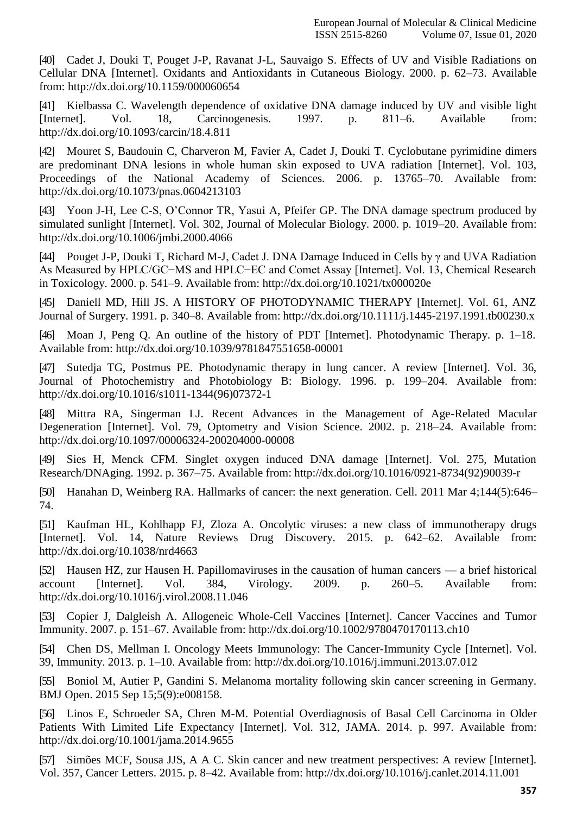[40] [Cadet J, Douki T, Pouget J-P, Ravanat J-L, Sauvaigo S. Effects of UV and Visible Radiations on](http://paperpile.com/b/HxQQkL/n83IY) [Cellular DNA \[Internet\]. Oxidants and Antioxidants in Cutaneous Biology. 2000. p. 62–73. Available](http://paperpile.com/b/HxQQkL/n83IY) [from: http://dx.doi.org/10.1159/000060654](http://paperpile.com/b/HxQQkL/n83IY)

[41] [Kielbassa C. Wavelength dependence of oxidative DNA damage induced by UV and visible light](http://paperpile.com/b/HxQQkL/bkHL5) [\[Internet\]. Vol. 18, Carcinogenesis. 1997. p. 811–6. Available from:](http://paperpile.com/b/HxQQkL/bkHL5) <http://dx.doi.org/10.1093/carcin/18.4.811>

[42] [Mouret S, Baudouin C, Charveron M, Favier A, Cadet J, Douki T. Cyclobutane pyrimidine dimers](http://paperpile.com/b/HxQQkL/sfLqc) [are predominant DNA lesions in whole human skin exposed to UVA radiation \[Internet\]. Vol. 103,](http://paperpile.com/b/HxQQkL/sfLqc) [Proceedings of the National Academy of Sciences. 2006. p. 13765–70. Available from:](http://paperpile.com/b/HxQQkL/sfLqc) <http://dx.doi.org/10.1073/pnas.0604213103>

[43] [Yoon J-H, Lee C-S, O'Connor TR, Yasui A, Pfeifer GP. The DNA damage spectrum produced by](http://paperpile.com/b/HxQQkL/dwvOJ) [simulated sunlight \[Internet\]. Vol. 302, Journal of Molecular Biology. 2000. p. 1019–20. Available from:](http://paperpile.com/b/HxQQkL/dwvOJ) <http://dx.doi.org/10.1006/jmbi.2000.4066>

[44] [Pouget J-P, Douki T, Richard M-J, Cadet J. DNA Damage Induced in Cells by γ and UVA Radiation](http://paperpile.com/b/HxQQkL/pqfW3) [As Measured by HPLC/GC−MS and HPLC−EC and Comet Assay \[Internet\]. Vol. 13, Chemical Research](http://paperpile.com/b/HxQQkL/pqfW3) [in Toxicology. 2000. p. 541–9. Available from:](http://paperpile.com/b/HxQQkL/pqfW3) [http://dx.doi.org/10.1021/tx000020e](http://paperpile.com/b/HxQQkL/pqfW3)

[45] [Daniell MD, Hill JS. A HISTORY OF PHOTODYNAMIC THERAPY \[Internet\]. Vol. 61, ANZ](http://paperpile.com/b/HxQQkL/JCqil) [Journal of Surgery. 1991. p. 340–8. Available from:](http://paperpile.com/b/HxQQkL/JCqil) [http://dx.doi.org/10.1111/j.1445-2197.1991.tb00230.x](http://paperpile.com/b/HxQQkL/JCqil)

[46] Moan J, Peng Q. An outline of the history of PDT [Internet]. [Photodynamic](http://paperpile.com/b/HxQQkL/9J8CV) Therapy. p. 1–18. [Available from: http://dx.doi.org/10.1039/9781847551658-00001](http://paperpile.com/b/HxQQkL/9J8CV)

[47] [Sutedja TG, Postmus PE. Photodynamic therapy in lung cancer. A review \[Internet\]. Vol. 36,](http://paperpile.com/b/HxQQkL/ouqOb) [Journal of Photochemistry and Photobiology B: Biology. 1996. p. 199–204. Available from:](http://paperpile.com/b/HxQQkL/ouqOb) [http://dx.doi.org/10.1016/s1011-1344\(96\)07372-1](http://dx.doi.org/10.1016/s1011-1344(96)07372-1)

[48] [Mittra RA, Singerman LJ. Recent Advances in the Management of Age-Related Macular](http://paperpile.com/b/HxQQkL/n0z08) [Degeneration \[Internet\]. Vol. 79, Optometry and Vision Science. 2002. p. 218–24. Available from:](http://paperpile.com/b/HxQQkL/n0z08) <http://dx.doi.org/10.1097/00006324-200204000-00008>

[49] [Sies H, Menck CFM. Singlet oxygen induced DNA damage \[Internet\]. Vol. 275, Mutation](http://paperpile.com/b/HxQQkL/Slc8A) [Research/DNAging. 1992. p. 367–75. Available from:](http://paperpile.com/b/HxQQkL/Slc8A) [http://dx.doi.org/10.1016/0921-8734\(92\)90039-r](http://paperpile.com/b/HxQQkL/Slc8A)

[50] [Hanahan D, Weinberg RA. Hallmarks of cancer: the next generation. Cell. 2011 Mar 4;144\(5\):646–](http://paperpile.com/b/HxQQkL/S4Sdy) [74.](http://paperpile.com/b/HxQQkL/S4Sdy)

[51] [Kaufman HL, Kohlhapp FJ, Zloza A. Oncolytic viruses: a new class of immunotherapy drugs](http://paperpile.com/b/HxQQkL/qMMtk) [\[Internet\]. Vol. 14, Nature Reviews Drug Discovery. 2015. p. 642–62. Available from:](http://paperpile.com/b/HxQQkL/qMMtk) <http://dx.doi.org/10.1038/nrd4663>

[52] [Hausen HZ, zur Hausen H. Papillomaviruses in the causation of human cancers —](http://paperpile.com/b/HxQQkL/pIdRT) a brief historica[l](http://paperpile.com/b/HxQQkL/pIdRT) [account \[Internet\]. Vol. 384, Virology. 2009. p. 260–5. Available from:](http://paperpile.com/b/HxQQkL/pIdRT) <http://dx.doi.org/10.1016/j.virol.2008.11.046>

[53] [Copier J, Dalgleish A. Allogeneic Whole-Cell Vaccines \[Internet\]. Cancer Vaccines and Tumor](http://paperpile.com/b/HxQQkL/GmvJ) [Immunity. 2007. p. 151–67. Available from:](http://paperpile.com/b/HxQQkL/GmvJ) [http://dx.doi.org/10.1002/9780470170113.ch10](http://paperpile.com/b/HxQQkL/GmvJ)

[54] [Chen DS, Mellman I. Oncology Meets Immunology: The Cancer-Immunity Cycle \[Internet\]. Vol.](http://paperpile.com/b/HxQQkL/XKEL) [39, Immunity. 2013. p. 1–10. Available from:](http://paperpile.com/b/HxQQkL/XKEL) [http://dx.doi.org/10.1016/j.immuni.2013.07.012](http://paperpile.com/b/HxQQkL/XKEL)

[55] [Boniol M, Autier P, Gandini S. Melanoma mortality following skin cancer screening in Germany.](http://paperpile.com/b/HxQQkL/gLjMx) [BMJ Open. 2015 Sep](http://paperpile.com/b/HxQQkL/gLjMx) 15;5(9):e008158.

[56] [Linos E, Schroeder SA, Chren M-M. Potential Overdiagnosis of Basal Cell Carcinoma in Older](http://paperpile.com/b/HxQQkL/V1MCF) [Patients With Limited Life Expectancy \[Internet\]. Vol. 312, JAMA. 2014. p. 997. Available from:](http://paperpile.com/b/HxQQkL/V1MCF) <http://dx.doi.org/10.1001/jama.2014.9655>

[57] [Simões MCF, Sousa JJS, A A C. Skin cancer and new treatment perspectives: A review \[Internet\].](http://paperpile.com/b/HxQQkL/uTLs) [Vol. 357, Cancer Letters. 2015. p. 8–42. Available from:](http://paperpile.com/b/HxQQkL/uTLs) [http://dx.doi.org/10.1016/j.canlet.2014.11.001](http://paperpile.com/b/HxQQkL/uTLs)